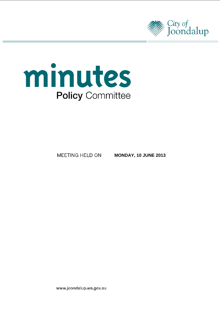



MEETING HELD ON

**MONDAY, 10 JUNE 2013**

www.joondalup.wa.gov.au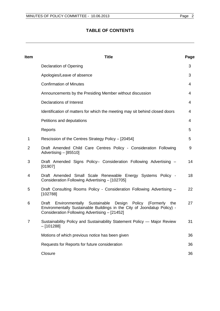# **TABLE OF CONTENTS**

| Item           | <b>Title</b>                                                                                                                                                                                        | Page |
|----------------|-----------------------------------------------------------------------------------------------------------------------------------------------------------------------------------------------------|------|
|                | Declaration of Opening                                                                                                                                                                              | 3    |
|                | Apologies/Leave of absence                                                                                                                                                                          | 3    |
|                | <b>Confirmation of Minutes</b>                                                                                                                                                                      | 4    |
|                | Announcements by the Presiding Member without discussion                                                                                                                                            | 4    |
|                | <b>Declarations of Interest</b>                                                                                                                                                                     | 4    |
|                | Identification of matters for which the meeting may sit behind closed doors                                                                                                                         | 4    |
|                | Petitions and deputations                                                                                                                                                                           | 4    |
|                | Reports                                                                                                                                                                                             | 5    |
| 1              | Rescission of the Centres Strategy Policy - [20454]                                                                                                                                                 | 5    |
| $\overline{2}$ | Draft Amended Child Care Centres Policy - Consideration Following<br>Advertising - [85510]                                                                                                          | 9    |
| 3              | Draft Amended Signs Policy- Consideration Following Advertising -<br>[01907]                                                                                                                        | 14   |
| 4              | Draft Amended Small Scale Renewable Energy Systems Policy -<br>Consideration Following Advertising - [102705]                                                                                       | 18   |
| 5              | Draft Consulting Rooms Policy - Consideration Following Advertising -<br>[102788]                                                                                                                   | 22   |
| 6              | Environmentally Sustainable Design Policy<br>(Formerly<br>Draft<br>the<br>Environmentally Sustainable Buildings in the City of Joondalup Policy) -<br>Consideration Following Advertising - [21452] | 27   |
| $\overline{7}$ | Sustainability Policy and Sustainability Statement Policy - Major Review<br>$-[101288]$                                                                                                             | 31   |
|                | Motions of which previous notice has been given                                                                                                                                                     | 36   |
|                | Requests for Reports for future consideration                                                                                                                                                       | 36   |
|                | Closure                                                                                                                                                                                             | 36   |
|                |                                                                                                                                                                                                     |      |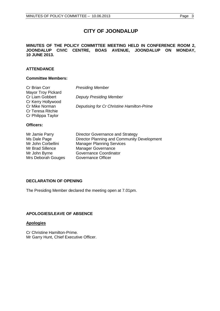# **CITY OF JOONDALUP**

#### **MINUTES OF THE POLICY COMMITTEE MEETING HELD IN CONFERENCE ROOM 2, JOONDALUP CIVIC CENTRE, BOAS AVENUE, JOONDALUP ON MONDAY, 10 JUNE 2013.**

# **ATTENDANCE**

#### **Committee Members:**

| Cr Brian Corr             | <b>Presiding Member</b>                    |
|---------------------------|--------------------------------------------|
| <b>Mayor Troy Pickard</b> |                                            |
| Cr Liam Gobbert           | <b>Deputy Presiding Member</b>             |
| Cr Kerry Hollywood        |                                            |
| Cr Mike Norman            | Deputising for Cr Christine Hamilton-Prime |
| Cr Teresa Ritchie         |                                            |
| Cr Philippa Taylor        |                                            |
|                           |                                            |

### **Officers:**

| Mr Jamie Parry     | Director Governance and Strategy            |
|--------------------|---------------------------------------------|
| Ms Dale Page       | Director Planning and Community Development |
| Mr John Corbellini | <b>Manager Planning Services</b>            |
| Mr Brad Sillence   | <b>Manager Governance</b>                   |
| Mr John Byrne      | <b>Governance Coordinator</b>               |
| Mrs Deborah Gouges | Governance Officer                          |

# <span id="page-2-0"></span>**DECLARATION OF OPENING**

The Presiding Member declared the meeting open at 7.01pm.

### <span id="page-2-1"></span>**APOLOGIES/LEAVE OF ABSENCE**

### **Apologies**

Cr Christine Hamilton-Prime*.* Mr Garry Hunt, Chief Executive Officer.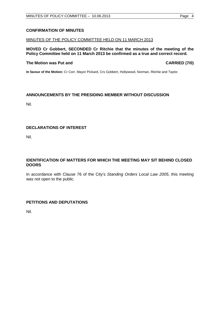## <span id="page-3-0"></span>**CONFIRMATION OF MINUTES**

### MINUTES OF THE POLICY COMMITTEE HELD ON 11 MARCH 2013

**MOVED Cr Gobbert, SECONDED Cr Ritchie that the minutes of the meeting of the Policy Committee held on 11 March 2013 be confirmed as a true and correct record.**

#### **The Motion was Put and CARRIED (7/0)**

**In favour of the Motion:** Cr Corr, Mayor Pickard, Crs Gobbert, Hollywood, Norman, Ritchie and Taylor.

## <span id="page-3-1"></span>**ANNOUNCEMENTS BY THE PRESIDING MEMBER WITHOUT DISCUSSION**

Nil.

# <span id="page-3-2"></span>**DECLARATIONS OF INTEREST**

Nil.

### <span id="page-3-3"></span>**IDENTIFICATION OF MATTERS FOR WHICH THE MEETING MAY SIT BEHIND CLOSED DOORS**

In accordance with Clause 76 of the City's *Standing Orders Local Law 2005*, this meeting was not open to the public.

### <span id="page-3-4"></span>**PETITIONS AND DEPUTATIONS**

Nil.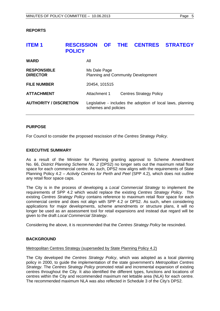#### <span id="page-4-0"></span>**REPORTS**

# <span id="page-4-1"></span>**ITEM 1 RESCISSION OF THE CENTRES STRATEGY POLICY**

| WARD                                  | All                                                       |                                                             |
|---------------------------------------|-----------------------------------------------------------|-------------------------------------------------------------|
| <b>RESPONSIBLE</b><br><b>DIRECTOR</b> | Ms Dale Page<br><b>Planning and Community Development</b> |                                                             |
| <b>FILE NUMBER</b>                    | 20454, 101515                                             |                                                             |
| <b>ATTACHMENT</b>                     | Attachment 1                                              | <b>Centres Strategy Policy</b>                              |
| <b>AUTHORITY / DISCRETION</b>         | schemes and policies                                      | Legislative - includes the adoption of local laws, planning |

#### **PURPOSE**

For Council to consider the proposed rescission of the *Centres Strategy Policy*.

#### **EXECUTIVE SUMMARY**

As a result of the Minister for Planning granting approval to Scheme Amendment No. 66, *District Planning Scheme No. 2* (DPS2) no longer sets out the maximum retail floor space for each commercial centre. As such, DPS2 now aligns with the requirements of State Planning Policy 4.2 – *Activity Centres for Perth and Peel* (SPP 4.2), which does not outline any retail floor space caps.

The City is in the process of developing a *Local Commercial Strategy* to implement the requirements of SPP 4.2 which would replace the existing *Centres Strategy Policy*. The existing *Centres Strategy Policy* contains reference to maximum retail floor space for each commercial centre and does not align with SPP 4.2 or DPS2. As such, when considering applications for major developments, scheme amendments or structure plans, it will no longer be used as an assessment tool for retail expansions and instead due regard will be given to the draft *Local Commercial Strategy*.

Considering the above, it is recommended that the *Centres Strategy Policy* be rescinded.

### **BACKGROUND**

#### Metropolitan Centres Strategy (superseded by State Planning Policy 4.2)

The City developed the *Centres Strategy Policy*, which was adopted as a local planning policy in 2000, to guide the implementation of the state government's *Metropolitan Centres Strategy*. The *Centres Strategy Policy* promoted retail and incremental expansion of existing centres throughout the City. It also identified the different types, functions and locations of centres within the City and recommended maximum net lettable area (NLA) for each centre. The recommended maximum NLA was also reflected in Schedule 3 of the City's DPS2.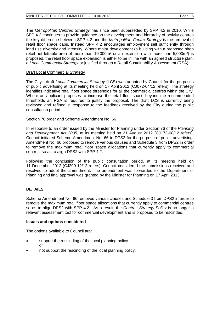The *Metropolitan Centres Strategy* has since been superseded by SPP 4.2 in 2010. While SPP 4.2 continues to provide guidance on the development and hierarchy of activity centres the key difference between SPP 4.2 and the *Metropolitan Centre Strategy* is the removal of retail floor space caps. Instead SPP 4.2 encourages employment self sufficiently through land use diversity and intensity. Where major development (a building with a proposed shop retail net lettable area of more than 10,000m² or an extension with more than 5,000m²) is proposed, the retail floor space expansion is either to be in line with an agreed structure plan, a *Local Commercial Strategy* or justified through a Retail Sustainability Assessment (RSA).

### Draft Local Commercial Strategy

The City's draft *Local Commercial Strategy* (LCS) was adopted by Council for the purposes of public advertising at its meeting held on 17 April 2012 (CJ072-04/12 refers). The strategy identifies indicative retail floor space thresholds for all the commercial centres within the City. Where an applicant proposes to increase the retail floor space beyond the recommended thresholds an RSA is required to justify the proposal. The draft LCS is currently being reviewed and refined in response to the feedback received by the City during the public consultation period.

#### Section 76 order and Scheme Amendment No. 66

In response to an order issued by the Minister for Planning under Section 76 of the *Planning and Development Act 2005*, at its meeting held on 21 August 2012 (CJ173-08/12 refers), Council initiated Scheme Amendment No. 66 to DPS2 for the purpose of public advertising. Amendment No. 66 proposed to remove various clauses and Schedule 3 from DPS2 in order to remove the maximum retail floor space allocations that currently apply to commercial centres, so as to align DPS2 with SPP 4.2.

Following the conclusion of the public consultation period, at its meeting held on 11 December 2012 (CJ290-12/12 refers), Council considered the submissions received and resolved to adopt the amendment. The amendment was forwarded to the Department of Planning and final approval was granted by the Minister for Planning on 17 April 2013.

### **DETAILS**

Scheme Amendment No. 66 removed various clauses and Schedule 3 from DPS2 in order to remove the maximum retail floor space allocations that currently apply to commercial centres so as to align DPS2 with SPP 4.2. As a result, the *Centres Strategy Policy* is no longer a relevant assessment tool for commercial development and is proposed to be rescinded.

#### **Issues and options considered**

The options available to Council are:

- support the rescinding of the local planning policy or
- not support the rescinding of the local planning policy.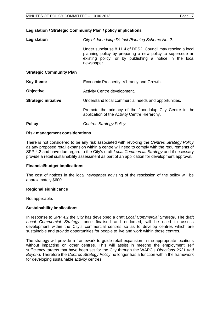### **Legislation / Strategic Community Plan / policy implications**

| Legislation                     | City of Joondalup District Planning Scheme No. 2.                                                                                                                                                 |
|---------------------------------|---------------------------------------------------------------------------------------------------------------------------------------------------------------------------------------------------|
|                                 | Under subclause 8.11.4 of DPS2, Council may rescind a local<br>planning policy by preparing a new policy to supersede an<br>existing policy, or by publishing a notice in the local<br>newspaper. |
| <b>Strategic Community Plan</b> |                                                                                                                                                                                                   |
| <b>Key theme</b>                | Economic Prosperity, Vibrancy and Growth.                                                                                                                                                         |
| <b>Objective</b>                | Activity Centre development.                                                                                                                                                                      |
| <b>Strategic initiative</b>     | Understand local commercial needs and opportunities.                                                                                                                                              |
|                                 | Promote the primacy of the Joondalup City Centre in the<br>application of the Activity Centre Hierarchy.                                                                                          |
| <b>Policy</b>                   | Centres Strategy Policy.                                                                                                                                                                          |

#### **Risk management considerations**

There is not considered to be any risk associated with revoking the *Centres Strategy Policy* as any proposed retail expansion within a centre will need to comply with the requirements of SPP 4.2 and have due regard to the City's draft *Local Commercial Strategy* and if necessary provide a retail sustainability assessment as part of an application for development approval.

#### **Financial/budget implications**

The cost of notices in the local newspaper advising of the rescission of the policy will be approximately \$600.

### **Regional significance**

Not applicable.

### **Sustainability implications**

In response to SPP 4.2 the City has developed a draft *Local Commercial Strategy*. The draft *Local Commercial Strategy*, once finalised and endorsed, will be used to assess development within the City's commercial centres so as to develop centres which are sustainable and provide opportunities for people to live and work within those centres.

The strategy will provide a framework to guide retail expansion in the appropriate locations without impacting on other centres. This will assist in meeting the employment self sufficiency targets that have been set for the City through the WAPC's *Directions 2031 and Beyond*. Therefore the *Centres Strategy Policy* no longer has a function within the framework for developing sustainable activity centres.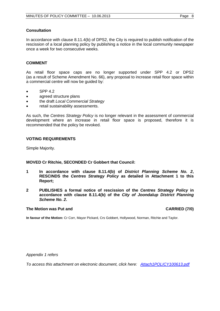### **Consultation**

In accordance with clause 8.11.4(b) of DPS2, the City is required to publish notification of the rescission of a local planning policy by publishing a notice in the local community newspaper once a week for two consecutive weeks.

#### **COMMENT**

As retail floor space caps are no longer supported under SPP 4.2 or DPS2 (as a result of Scheme Amendment No. 66), any proposal to increase retail floor space within a commercial centre will now be guided by:

- $\bullet$  SPP 4.2
- agreed structure plans
- the draft *Local Commercial Strategy*
- retail sustainability assessments.

As such, the *Centres Strategy Policy* is no longer relevant in the assessment of commercial development where an increase in retail floor space is proposed, therefore it is recommended that the policy be revoked.

#### **VOTING REQUIREMENTS**

Simple Majority.

#### **MOVED Cr Ritchie, SECONDED Cr Gobbert that Council:**

- **1 In accordance with clause 8.11.4(b) of** *District Planning Scheme No. 2***, RESCINDS the** *Centres Strategy Policy* **as detailed in Attachment 1 to this Report;**
- **2 PUBLISHES a formal notice of rescission of the** *Centres Strategy Policy* **in accordance with clause 8.11.4(b) of the** *City of Joondalup District Planning Scheme No. 2***.**

#### **The Motion was Put and CARRIED (7/0)**

**In favour of the Motion:** Cr Corr, Mayor Pickard, Crs Gobbert, Hollywood, Norman, Ritchie and Taylor.

*Appendix 1 refers*

*[To access this attachment on electronic document, click here: Attach1POLICY100613.pdf](http://www.joondalup.wa.gov.au/files/committees/POLI/2013/Attach1POLICY100613.pdf)*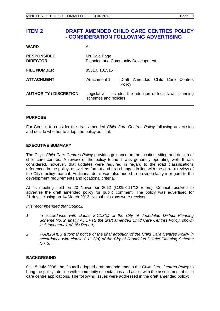# <span id="page-8-0"></span>**ITEM 2 DRAFT AMENDED CHILD CARE CENTRES POLICY - CONSIDERATION FOLLOWING ADVERTISING**

| <b>WARD</b>                           | All                   |                                                             |
|---------------------------------------|-----------------------|-------------------------------------------------------------|
| <b>RESPONSIBLE</b><br><b>DIRECTOR</b> | Ms Dale Page          | <b>Planning and Community Development</b>                   |
| <b>FILE NUMBER</b>                    | 85510, 101515         |                                                             |
| <b>ATTACHMENT</b>                     | Attachment 1          | Draft Amended Child Care Centres<br>Policy                  |
| <b>AUTHORITY / DISCRETION</b>         | schemes and policies. | Legislative - includes the adoption of local laws, planning |

### **PURPOSE**

For Council to consider the draft amended *Child Care Centres Policy* following advertising and decide whether to adopt the policy as final.

#### **EXECUTIVE SUMMARY**

The City's *Child Care Centres Policy* provides guidance on the location, siting and design of child care centres. A review of the policy found it was generally operating well. It was considered, however, that updates were required in regard to the road classifications referenced in the policy, as well as format and text changes in line with the current review of the City's policy manual. Additional detail was also added to provide clarity in regard to the development requirements and locational criteria.

At its meeting held on 20 November 2012 (CJ258-11/12 refers), Council resolved to advertise the draft amended policy for public comment. The policy was advertised for 21 days, closing on 14 March 2013. No submissions were received.

#### *It is recommended that Council:*

- *1 In accordance with clause 8.11.3(c) of the City of Joondalup District Planning Scheme No. 2, finally ADOPTS the draft amended Child Care Centres Policy, shown in Attachment 1 of this Report;*
- *2 PUBLISHES a formal notice of the final adoption of the Child Care Centres Policy in accordance with clause 8.11.3(d) of the City of Joondalup District Planning Scheme No. 2.*

### **BACKGROUND**

On 15 July 2008, the Council adopted draft amendments to the *Child Care Centres Policy* to bring the policy into line with community expectations and assist with the assessment of child care centre applications. The following issues were addressed in the draft amended policy: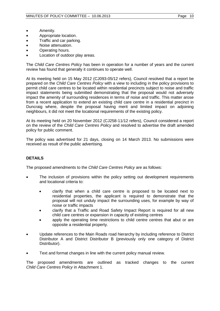- Amenity.
- Appropriate location.
- Traffic and car parking.
- Noise attenuation.
- Operating hours.
- Location of outdoor play areas.

The *Child Care Centres Policy* has been in operation for a number of years and the current review has found that generally it continues to operate well.

At its meeting held on 15 May 2012 (CJ093-05/12 refers), Council resolved that a report be prepared on the *Child Care Centres Policy* with a view to including in the policy provisions to permit child care centres to be located within residential precincts subject to noise and traffic impact statements being submitted demonstrating that the proposal would not adversely impact the amenity of surrounding residences in terms of noise and traffic. This matter arose from a recent application to extend an existing child care centre in a residential precinct in Duncraig where, despite the proposal having merit and limited impact on adjoining neighbours, it did not meet the locational requirements of the existing policy.

At its meeting held on 20 November 2012 (CJ258-11/12 refers), Council considered a report on the review of the *Child Care Centres Policy* and resolved to advertise the draft amended policy for public comment.

The policy was advertised for 21 days, closing on 14 March 2013. No submissions were received as result of the public advertising.

# **DETAILS**

The proposed amendments to the *Child Care Centres Policy* are as follows:

- The inclusion of provisions within the policy setting out development requirements and locational criteria to:
	- clarify that when a child care centre is proposed to be located next to residential properties, the applicant is required to demonstrate that the proposal will not unduly impact the surrounding uses, for example by way of noise or traffic impacts
	- clarify that a Traffic and Road Safety Impact Report is required for all new child care centres or expansion in capacity of existing centres
	- apply the operating time restrictions to child centre centres that abut or are opposite a residential property.
- Update references to the Main Roads road hierarchy by including reference to District Distributor A and District Distributor B (previously only one category of District Distributor).
- Text and format changes in line with the current policy manual review.

The proposed amendments are outlined as tracked changes to the current *Child Care Centres Policy* in Attachment 1.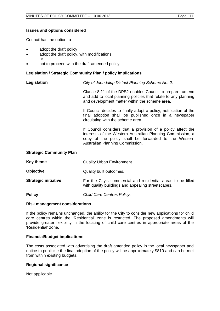#### **Issues and options considered**

Council has the option to:

- adopt the draft policy
- adopt the draft policy, with modifications or
	-
- not to proceed with the draft amended policy.

#### **Legislation / Strategic Community Plan / policy implications**

**Legislation** *City of Joondalup District Planning Scheme No. 2.*

Clause 8.11 of the DPS2 enables Council to prepare, amend and add to local planning policies that relate to any planning and development matter within the scheme area.

If Council decides to finally adopt a policy, notification of the final adoption shall be published once in a newspaper circulating with the scheme area.

If Council considers that a provision of a policy affect the interests of the Western Australian Planning Commission, a copy of the policy shall be forwarded to the Western Australian Planning Commission.

#### **Strategic Community Plan**

| Key theme                   | <b>Quality Urban Environment.</b>                                                                                  |
|-----------------------------|--------------------------------------------------------------------------------------------------------------------|
| <b>Objective</b>            | Quality built outcomes.                                                                                            |
| <b>Strategic initiative</b> | For the City's commercial and residential areas to be filled<br>with quality buildings and appealing streetscapes. |
| <b>Policy</b>               | Child Care Centres Policy.                                                                                         |

#### **Risk management considerations**

If the policy remains unchanged, the ability for the City to consider new applications for child care centres within the 'Residential' zone is restricted. The proposed amendments will provide greater flexibility in the locating of child care centres in appropriate areas of the 'Residential' zone.

#### **Financial/budget implications**

The costs associated with advertising the draft amended policy in the local newspaper and notice to publicise the final adoption of the policy will be approximately \$810 and can be met from within existing budgets.

#### **Regional significance**

Not applicable.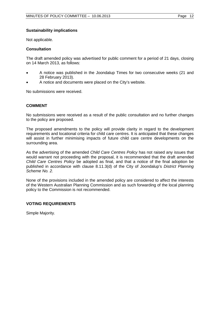### **Sustainability implications**

Not applicable.

#### **Consultation**

The draft amended policy was advertised for public comment for a period of 21 days, closing on 14 March 2013, as follows:

- A notice was published in the Joondalup Times for two consecutive weeks (21 and 28 February 2013).
- A notice and documents were placed on the City's website.

No submissions were received.

### **COMMENT**

No submissions were received as a result of the public consultation and no further changes to the policy are proposed.

The proposed amendments to the policy will provide clarity in regard to the development requirements and locational criteria for child care centres. It is anticipated that these changes will assist in further minimising impacts of future child care centre developments on the surrounding area.

As the advertising of the amended *Child Care Centres Policy* has not raised any issues that would warrant not proceeding with the proposal, it is recommended that the draft amended *Child Care Centres Policy* be adopted as final, and that a notice of the final adoption be published in accordance with clause 8.11.3(d) of the City of Joondalup's *District Planning Scheme No. 2.*

None of the provisions included in the amended policy are considered to affect the interests of the Western Australian Planning Commission and as such forwarding of the local planning policy to the Commission is not recommended.

### **VOTING REQUIREMENTS**

Simple Majority.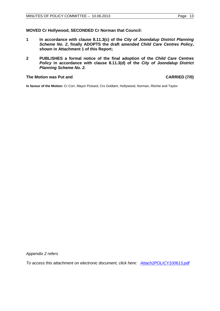**MOVED Cr Hollywood, SECONDED Cr Norman that Council:** 

- **1 In accordance with clause 8.11.3(c) of the** *City of Joondalup District Planning Scheme No. 2***, finally ADOPTS the draft amended** *Child Care Centres Policy***, shown in Attachment 1 of this Report;**
- **2 PUBLISHES a formal notice of the final adoption of the** *Child Care Centres Policy* **in accordance with clause 8.11.3(d) of the** *City of Joondalup District Planning Scheme No. 2.*

#### The Motion was Put and **CARRIED** (7/0)

**In favour of the Motion:** Cr Corr, Mayor Pickard, Crs Gobbert, Hollywood, Norman, Ritchie and Taylor.

*Appendix 2 refers*

*[To access this attachment on electronic document, click here: Attach2POLICY100613.pdf](http://www.joondalup.wa.gov.au/files/committees/POLI/2013/Attach2POLICY100613.pdf)*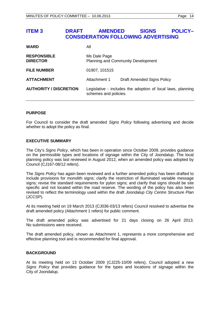# <span id="page-13-0"></span>**ITEM 3 DRAFT AMENDED SIGNS POLICY– CONSIDERATION FOLLOWING ADVERTISING**

| <b>WARD</b>                           | All                                                       |                                                             |
|---------------------------------------|-----------------------------------------------------------|-------------------------------------------------------------|
| <b>RESPONSIBLE</b><br><b>DIRECTOR</b> | Ms Dale Page<br><b>Planning and Community Development</b> |                                                             |
| <b>FILE NUMBER</b>                    | 01907, 101515                                             |                                                             |
| <b>ATTACHMENT</b>                     | Attachment 1                                              | <b>Draft Amended Signs Policy</b>                           |
| <b>AUTHORITY / DISCRETION</b>         | schemes and policies.                                     | Legislative - includes the adoption of local laws, planning |

#### **PURPOSE**

For Council to consider the draft amended *Signs Policy* following advertising and decide whether to adopt the policy as final.

#### **EXECUTIVE SUMMARY**

The City's *Signs Policy*, which has been in operation since October 2009, provides guidance on the permissible types and locations of signage within the City of Joondalup. The local planning policy was last reviewed in August 2012, when an amended policy was adopted by Council (CJ167-08/12 refers).

The *Signs Policy* has again been reviewed and a further amended policy has been drafted to include provisions for monolith signs; clarify the restriction of illuminated variable message signs; revise the standard requirements for pylon signs; and clarify that signs should be site specific and not located within the road reserve. The wording of the policy has also been revised to reflect the terminology used within the draft *Joondalup City Centre Structure Plan* (JCCSP).

At its meeting held on 19 March 2013 (CJ036-03/13 refers) Council resolved to advertise the draft amended policy (Attachment 1 refers) for public comment.

The draft amended policy was advertised for 21 days closing on 26 April 2013. No submissions were received.

The draft amended policy, shown as Attachment 1, represents a more comprehensive and effective planning tool and is recommended for final approval.

### **BACKGROUND**

At its meeting held on 13 October 2009 (CJ225-10/09 refers), Council adopted a new *Signs Policy* that provides guidance for the types and locations of signage within the City of Joondalup.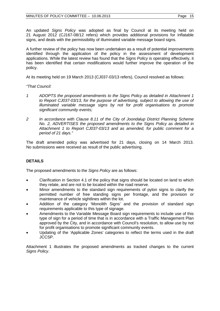An updated *Signs Policy* was adopted as final by Council at its meeting held on 21 August 2012 (CJ167-08/12 refers) which provides additional provisions for inflatable signs, and deals with the permissibility of illuminated variable message board signs.

A further review of the policy has now been undertaken as a result of potential improvements identified through the application of the policy in the assessment of development applications. While the latest review has found that the *Signs Policy* is operating effectively, it has been identified that certain modifications would further improve the operation of the policy.

At its meeting held on 19 March 2013 (CJ037-03/13 refers), Council resolved as follows:

*"That Council:*

- *1 ADOPTS the proposed amendments to the Signs Policy as detailed in Attachment 1 to Report CJ037-03/13, for the purpose of advertising, subject to allowing the use of illuminated variable message signs by not for profit organisations to promote significant community events;*
- *2 In accordance with Clause 8.11 of the City of Joondalup District Planning Scheme No. 2, ADVERTISES the proposed amendments to the Signs Policy as detailed in Attachment 1 to Report CJ037-03/13 and as amended, for public comment for a period of 21 days."*

The draft amended policy was advertised for 21 days, closing on 14 March 2013. No submissions were received as result of the public advertising.

# **DETAILS**

The proposed amendments to the *Signs Policy* are as follows:

- Clarification in Section 4.1 of the policy that signs should be located on land to which they relate, and are not to be located within the road reserve.
- Minor amendments to the standard sign requirements of pylon signs to clarify the permitted number of free standing signs per frontage, and the provision or maintenance of vehicle sightlines within the lot.
- Addition of the category 'Monolith Signs' and the provision of standard sign requirements applicable to this type of signage.
- Amendments to the Variable Message Board sign requirements to include use of this type of sign for a period of time that is in accordance with a Traffic Management Plan approved by the City, and in accordance with Council's resolution, to allow use by not for profit organisations to promote significant community events.
- Updating of the 'Applicable Zones' categories to reflect the terms used in the draft JCCSP.

Attachment 1 illustrates the proposed amendments as tracked changes to the current *Signs Policy*.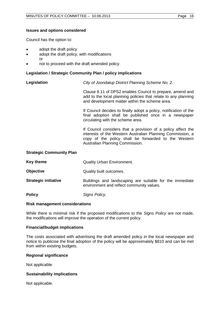#### **Issues and options considered**

Council has the option to:

- adopt the draft policy
- adopt the draft policy, with modifications
	- or
- not to proceed with the draft amended policy.

#### **Legislation / Strategic Community Plan / policy implications**

**Legislation** *City of Joondalup District Planning Scheme No. 2.*

Clause 8.11 of DPS2 enables Council to prepare, amend and add to the local planning policies that relate to any planning and development matter within the scheme area.

If Council decides to finally adopt a policy, notification of the final adoption shall be published once in a newspaper circulating with the scheme area.

If Council considers that a provision of a policy affect the interests of the Western Australian Planning Commission, a copy of the policy shall be forwarded to the Western Australian Planning Commission.

#### **Strategic Community Plan**

| Key theme | <b>Quality Urban Environment.</b> |
|-----------|-----------------------------------|
|           |                                   |

**Objective Quality built outcomes.** 

**Strategic initiative Buildings** and landscaping are suitable for the immediate environment and reflect community values.

**Policy** *Signs Policy.*

#### **Risk management considerations**

While there is minimal risk if the proposed modifications to the *Signs Policy* are not made, the modifications will improve the operation of the current policy.

#### **Financial/budget implications**

The costs associated with advertising the draft amended policy in the local newspaper and notice to publicise the final adoption of the policy will be approximately \$810 and can be met from within existing budgets.

#### **Regional significance**

Not applicable.

#### **Sustainability implications**

Not applicable.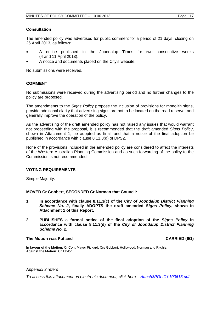#### **Consultation**

The amended policy was advertised for public comment for a period of 21 days, closing on 26 April 2013, as follows:

- A notice published in the Joondalup Times for two consecutive weeks (4 and 11 April 2013).
- A notice and documents placed on the City's website.

No submissions were received.

#### **COMMENT**

No submissions were received during the advertising period and no further changes to the policy are proposed.

The amendments to the *Signs Policy* propose the inclusion of provisions for monolith signs, provide additional clarity that advertising signs are not to be located on the road reserve, and generally improve the operation of the policy.

As the advertising of the draft amended policy has not raised any issues that would warrant not proceeding with the proposal, it is recommended that the draft amended *Signs Policy*, shown in Attachment 1, be adopted as final, and that a notice of the final adoption be published in accordance with clause 8.11.3(d) of DPS2.

None of the provisions included in the amended policy are considered to affect the interests of the Western Australian Planning Commission and as such forwarding of the policy to the Commission is not recommended.

### **VOTING REQUIREMENTS**

Simple Majority.

#### **MOVED Cr Gobbert, SECONDED Cr Norman that Council:**

- **1 In accordance with clause 8.11.3(c) of the** *City of Joondalup District Planning Scheme No. 2***, finally ADOPTS the draft amended** *Signs Policy***, shown in Attachment 1 of this Report;**
- **2 PUBLISHES a formal notice of the final adoption of the** *Signs Policy* **in accordance with clause 8.11.3(d) of the** *City of Joondalup District Planning Scheme No. 2***.**

#### **The Motion was Put and CARRIED (6/1) CARRIED (6/1)**

**In favour of the Motion:** Cr Corr, Mayor Pickard, Crs Gobbert, Hollywood, Norman and Ritchie. **Against the Motion:** Cr Taylor.

#### *Appendix 3 refers*

*[To access this attachment on electronic document, click here: Attach3POLICY100613.pdf](http://www.joondalup.wa.gov.au/files/committees/POLI/2013/Attach3POLICY100613.pdf)*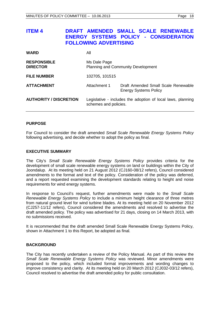<span id="page-17-0"></span>

| <b>ITEM 4</b>                         | DRAFT AMENDED SMALL SCALE RENEWABLE<br>ENERGY SYSTEMS POLICY - CONSIDERATION<br><b>FOLLOWING ADVERTISING</b> |                                           |                              |                                                             |
|---------------------------------------|--------------------------------------------------------------------------------------------------------------|-------------------------------------------|------------------------------|-------------------------------------------------------------|
| <b>WARD</b>                           | All                                                                                                          |                                           |                              |                                                             |
| <b>RESPONSIBLE</b><br><b>DIRECTOR</b> | Ms Dale Page                                                                                                 | <b>Planning and Community Development</b> |                              |                                                             |
| <b>FILE NUMBER</b>                    | 102705, 101515                                                                                               |                                           |                              |                                                             |
| <b>ATTACHMENT</b>                     | Attachment 1                                                                                                 |                                           | <b>Energy Systems Policy</b> | Draft Amended Small Scale Renewable                         |
| <b>AUTHORITY / DISCRETION</b>         |                                                                                                              | schemes and policies.                     |                              | Legislative - includes the adoption of local laws, planning |

### **PURPOSE**

For Council to consider the draft amended *Small Scale Renewable Energy Systems Policy* following advertising, and decide whether to adopt the policy as final.

#### **EXECUTIVE SUMMARY**

The City's *Small Scale Renewable Energy Systems Policy* provides criteria for the development of small scale renewable energy systems on land or buildings within the City of Joondalup. At its meeting held on 21 August 2012 (CJ160-08/12 refers), Council considered amendments to the format and text of the policy. Consideration of the policy was deferred, and a report requested examining the development standards relating to height and noise requirements for wind energy systems.

In response to Council's request, further amendments were made to the *Small Scale Renewable Energy Systems Policy* to include a minimum height clearance of three metres from natural ground level for wind turbine blades. At its meeting held on 20 November 2012 (CJ257-11/12 refers), Council considered the amendments and resolved to advertise the draft amended policy. The policy was advertised for 21 days, closing on 14 March 2013, with no submissions received.

It is recommended that the draft amended Small Scale Renewable Energy Systems Policy, shown in Attachment 1 to this Report, be adopted as final.

#### **BACKGROUND**

The City has recently undertaken a review of the Policy Manual. As part of this review the *Small Scale Renewable Energy Systems Policy* was reviewed. Minor amendments were proposed to the policy, which included format improvements and wording changes to improve consistency and clarity. At its meeting held on 20 March 2012 (CJ032-03/12 refers), Council resolved to advertise the draft amended policy for public consultation.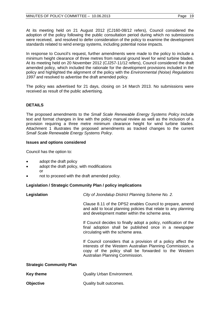At its meeting held on 21 August 2012 (CJ160-08/12 refers), Council considered the adoption of the policy following the public consultation period during which no submissions were received, and resolved to defer consideration of the policy to examine the development standards related to wind energy systems, including potential noise impacts.

In response to Council's request, further amendments were made to the policy to include a minimum height clearance of three metres from natural ground level for wind turbine blades. At its meeting held on 20 November 2012 (CJ257-11/12 refers), Council considered the draft amended policy, which included the rationale for the development provisions included in the policy and highlighted the alignment of the policy with the *Environmental (Noise) Regulations 1997* and resolved to advertise the draft amended policy.

The policy was advertised for 21 days, closing on 14 March 2013. No submissions were received as result of the public advertising.

## **DETAILS**

The proposed amendments to the *Small Scale Renewable Energy Systems Policy* include text and format changes in line with the policy manual review as well as the inclusion of a provision requiring a three metre minimum clearance height for wind turbine blades. Attachment 1 illustrates the proposed amendments as tracked changes to the current *Small Scale Renewable Energy Systems Policy*.

#### **Issues and options considered**

Council has the option to:

- adopt the draft policy
- adopt the draft policy, with modifications
- or
- not to proceed with the draft amended policy.

### **Legislation / Strategic Community Plan / policy implications**

| Legislation                     | City of Joondalup District Planning Scheme No. 2.                                                                                                                                                                     |
|---------------------------------|-----------------------------------------------------------------------------------------------------------------------------------------------------------------------------------------------------------------------|
|                                 | Clause 8.11 of the DPS2 enables Council to prepare, amend<br>and add to local planning policies that relate to any planning<br>and development matter within the scheme area.                                         |
|                                 | If Council decides to finally adopt a policy, notification of the<br>final adoption shall be published once in a newspaper<br>circulating with the scheme area.                                                       |
|                                 | If Council considers that a provision of a policy affect the<br>interests of the Western Australian Planning Commission, a<br>copy of the policy shall be forwarded to the Western<br>Australian Planning Commission. |
| <b>Strategic Community Plan</b> |                                                                                                                                                                                                                       |
| <b>Key theme</b>                | <b>Quality Urban Environment.</b>                                                                                                                                                                                     |

**Objective Quality built outcomes.**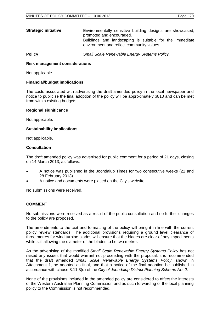| <b>Strategic initiative</b> | Environmentally sensitive building designs are showcased,<br>promoted and encouraged.                |
|-----------------------------|------------------------------------------------------------------------------------------------------|
|                             | Buildings and landscaping is suitable for the immediate<br>environment and reflect community values. |

**Policy** *Small Scale Renewable Energy Systems Policy.*

#### **Risk management considerations**

Not applicable.

#### **Financial/budget implications**

The costs associated with advertising the draft amended policy in the local newspaper and notice to publicise the final adoption of the policy will be approximately \$810 and can be met from within existing budgets.

#### **Regional significance**

Not applicable.

#### **Sustainability implications**

Not applicable.

#### **Consultation**

The draft amended policy was advertised for public comment for a period of 21 days, closing on 14 March 2013, as follows:

- A notice was published in the Joondalup Times for two consecutive weeks (21 and 28 February 2013).
- A notice and documents were placed on the City's website.

No submissions were received.

#### **COMMENT**

No submissions were received as a result of the public consultation and no further changes to the policy are proposed.

The amendments to the text and formatting of the policy will bring it in line with the current policy review standards. The additional provisions requiring a ground level clearance of three metres for wind turbine blades will ensure that the blades are clear of any impediments while still allowing the diameter of the blades to be two metres.

As the advertising of the modified *Small Scale Renewable Energy Systems Policy* has not raised any issues that would warrant not proceeding with the proposal, it is recommended that the draft amended *Small Scale Renewable Energy Systems Policy*, shown in Attachment 1, be adopted as final, and that a notice of the final adoption be published in accordance with clause 8.11.3(d) of the *City of Joondalup District Planning Scheme No. 2*.

None of the provisions included in the amended policy are considered to affect the interests of the Western Australian Planning Commission and as such forwarding of the local planning policy to the Commission is not recommended.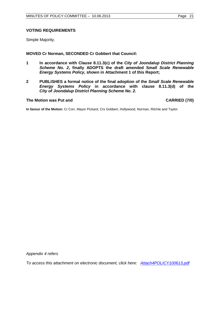### **VOTING REQUIREMENTS**

Simple Majority.

#### **MOVED Cr Norman, SECONDED Cr Gobbert that Council:**

- **1 In accordance with Clause 8.11.3(c) of the** *City of Joondalup District Planning Scheme No. 2***, finally ADOPTS the draft amended S***mall Scale Renewable Energy Systems Policy***, shown in Attachment 1 of this Report;**
- **2 PUBLISHES a formal notice of the final adoption of the** *Small Scale Renewable Energy Systems Policy* **in accordance with clause 8.11.3(d) of the**  *City of Joondalup District Planning Scheme No. 2***.**

#### The Motion was Put and **CARRIED** (7/0)

**In favour of the Motion:** Cr Corr, Mayor Pickard, Crs Gobbert, Hollywood, Norman, Ritchie and Taylor.

*Appendix 4 refers*

*[To access this attachment on electronic document, click here: Attach4POLICY100613.pdf](http://www.joondalup.wa.gov.au/files/committees/POLI/2013/Attach4POLICY100613.pdf)*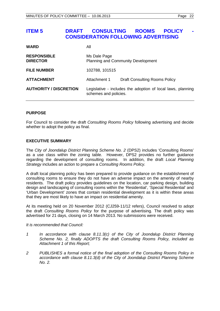# <span id="page-21-0"></span>**ITEM 5 DRAFT CONSULTING ROOMS POLICY CONSIDERATION FOLLOWING ADVERTISING**

| <b>WARD</b>                           | Αll                                                                                  |                                      |
|---------------------------------------|--------------------------------------------------------------------------------------|--------------------------------------|
| <b>RESPONSIBLE</b><br><b>DIRECTOR</b> | Ms Dale Page<br><b>Planning and Community Development</b>                            |                                      |
| <b>FILE NUMBER</b>                    | 102788, 101515                                                                       |                                      |
| <b>ATTACHMENT</b>                     | Attachment 1                                                                         | <b>Draft Consulting Rooms Policy</b> |
| <b>AUTHORITY / DISCRETION</b>         | Legislative - includes the adoption of local laws, planning<br>schemes and policies. |                                      |

#### **PURPOSE**

For Council to consider the draft *Consulting Rooms Policy* following advertising and decide whether to adopt the policy as final.

#### **EXECUTIVE SUMMARY**

The *City of Joondalup District Planning Scheme No. 2* (DPS2) includes 'Consulting Rooms' as a use class within the zoning table. However, DPS2 provides no further guidance regarding the development of consulting rooms. In addition, the draft *Local Planning Strategy* includes an action to prepare a *Consulting Rooms Policy.*

A draft local planning policy has been prepared to provide guidance on the establishment of consulting rooms to ensure they do not have an adverse impact on the amenity of nearby residents. The draft policy provides guidelines on the location, car parking design, building design and landscaping of consulting rooms within the 'Residential', 'Special Residential' and 'Urban Development' zones that contain residential development as it is within these areas that they are most likely to have an impact on residential amenity.

At its meeting held on 20 November 2012 (CJ259-11/12 refers), Council resolved to adopt the draft *Consulting Rooms Policy* for the purpose of advertising. The draft policy was advertised for 21 days, closing on 14 March 2013. No submissions were received.

*It is recommended that Council:*

- *1 In accordance with clause 8.11.3(c) of the City of Joondalup District Planning Scheme No. 2, finally ADOPTS the draft Consulting Rooms Policy, included as Attachment 1 of this Report;*
- *2 PUBLISHES a formal notice of the final adoption of the Consulting Rooms Policy in accordance with clause 8.11.3(d) of the City of Joondalup District Planning Scheme No. 2.*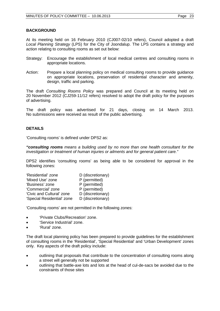#### **BACKGROUND**

At its meeting held on 16 February 2010 (CJ007-02/10 refers), Council adopted a draft *Local Planning Strategy* (LPS) for the City of Joondalup. The LPS contains a strategy and action relating to consulting rooms as set out below:

- Strategy: Encourage the establishment of local medical centres and consulting rooms in appropriate locations.
- Action: Prepare a local planning policy on medical consulting rooms to provide guidance on appropriate locations, preservation of residential character and amenity, design, traffic and parking.

The draft *Consulting Rooms Policy* was prepared and Council at its meeting held on 20 November 2012 (CJ259-11/12 refers) resolved to adopt the draft policy for the purposes of advertising.

The draft policy was advertised for 21 days, closing on 14 March 2013. No submissions were received as result of the public advertising.

### **DETAILS**

'Consulting rooms' is defined under DPS2 as:

*"consulting rooms means a building used by no more than one health consultant for the investigation or treatment of human injuries or ailments and for general patient care."*

DPS2 identifies 'consulting rooms' as being able to be considered for approval in the following zones:

| 'Residential' zone         | D (discretionary) |
|----------------------------|-------------------|
| 'Mixed Use' zone           | P (permitted)     |
| 'Business' zone            | P (permitted)     |
| 'Commercial' zone          | P (permitted)     |
| 'Civic and Cultural' zone  | D (discretionary) |
| 'Special Residential' zone | D (discretionary) |

'Consulting rooms' are not permitted in the following zones:

- 'Private Clubs/Recreation' zone.
- 'Service Industrial' zone.
- 'Rural' zone.

The draft local planning policy has been prepared to provide guidelines for the establishment of consulting rooms in the 'Residential', 'Special Residential' and 'Urban Development' zones only. Key aspects of the draft policy include:

- outlining that proposals that contribute to the concentration of consulting rooms along a street will generally not be supported
- outlining that battle-axe lots and lots at the head of cul-de-sacs be avoided due to the constraints of those sites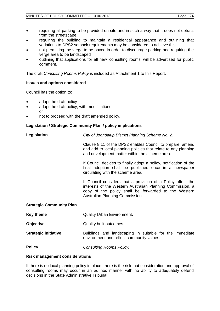- requiring all parking to be provided on-site and in such a way that it does not detract from the streetscape
- requiring the building to maintain a residential appearance and outlining that variations to DPS2 setback requirements may be considered to achieve this
- not permitting the verge to be paved in order to discourage parking and requiring the verge area to be landscaped
- outlining that applications for all new 'consulting rooms' will be advertised for public comment.

The draft *Consulting Rooms Policy* is included as Attachment 1 to this Report.

### **Issues and options considered**

Council has the option to:

- adopt the draft policy
- adopt the draft policy, with modifications or
- not to proceed with the draft amended policy.

## **Legislation / Strategic Community Plan / policy implications**

**Legislation** *City of Joondalup District Planning Scheme No. 2.*

Clause 8.11 of the DPS2 enables Council to prepare, amend and add to local planning policies that relate to any planning and development matter within the scheme area.

If Council decides to finally adopt a policy, notification of the final adoption shall be published once in a newspaper circulating with the scheme area.

If Council considers that a provision of a Policy affect the interests of the Western Australian Planning Commission, a copy of the policy shall be forwarded to the Western Australian Planning Commission.

### **Strategic Community Plan**

**Key theme Cuality Urban Environment.** 

**Objective** Quality built outcomes.

**Strategic initiative Buildings** and landscaping in suitable for the immediate environment and reflect community values.

**Policy** *Consulting Rooms Policy.*

#### **Risk management considerations**

If there is no local planning policy in place, there is the risk that consideration and approval of consulting rooms may occur in an ad hoc manner with no ability to adequately defend decisions in the State Administrative Tribunal.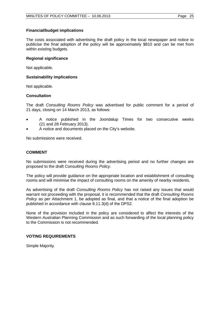#### **Financial/budget implications**

The costs associated with advertising the draft policy in the local newspaper and notice to publicise the final adoption of the policy will be approximately \$810 and can be met from within existing budgets.

#### **Regional significance**

Not applicable.

#### **Sustainability implications**

Not applicable.

#### **Consultation**

The draft *Consulting Rooms Policy* was advertised for public comment for a period of 21 days, closing on 14 March 2013, as follows:

- A notice published in the Joondalup Times for two consecutive weeks (21 and 28 February 2013).
- A notice and documents placed on the City's website.

No submissions were received.

### **COMMENT**

No submissions were received during the advertising period and no further changes are proposed to the draft *Consulting Rooms Policy.*

The policy will provide guidance on the appropriate location and establishment of consulting rooms and will minimise the impact of consulting rooms on the amenity of nearby residents.

As advertising of the draft *Consulting Rooms Policy* has not raised any issues that would warrant not proceeding with the proposal, it is recommended that the draft *Consulting Rooms Policy* as per Attachment 1, be adopted as final, and that a notice of the final adoption be published in accordance with clause 8.11.3(d) of the DPS2.

None of the provision included in the policy are considered to affect the interests of the Western Australian Planning Commission and as such forwarding of the local planning policy to the Commission is not recommended.

### **VOTING REQUIREMENTS**

Simple Majority.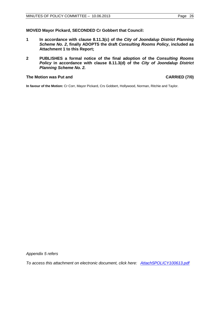#### **MOVED Mayor Pickard, SECONDED Cr Gobbert that Council:**

- **1 In accordance with clause 8.11.3(c) of the** *City of Joondalup District Planning Scheme No. 2***, finally ADOPTS the draft** *Consulting Rooms Policy***, included as Attachment 1 to this Report;**
- **2 PUBLISHES a formal notice of the final adoption of the** *Consulting Rooms Policy* **in accordance with clause 8.11.3(d) of the** *City of Joondalup District Planning Scheme No. 2.*

#### The Motion was Put and **CARRIED** (7/0)

**In favour of the Motion:** Cr Corr, Mayor Pickard, Crs Gobbert, Hollywood, Norman, Ritchie and Taylor.

*Appendix 5 refers*

*[To access this attachment on electronic document, click here: Attach5POLICY100613.pdf](http://www.joondalup.wa.gov.au/files/committees/POLI/2013/Attach5POLICY100613.pdf)*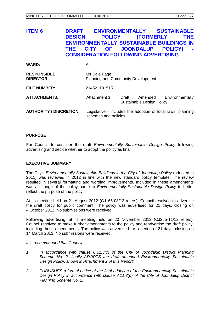# <span id="page-26-0"></span>**ITEM 6 DRAFT ENVIRONMENTALLY SUSTAINABLE DESIGN POLICY (FORMERLY THE ENVIRONMENTALLY SUSTAINABLE BUILDINGS IN THE CITY OF JOONDALUP POLICY) - CONSIDERATION FOLLOWING ADVERTISING**

| <b>WARD:</b>                           | All                                                                                 |       |                                      |                 |
|----------------------------------------|-------------------------------------------------------------------------------------|-------|--------------------------------------|-----------------|
| <b>RESPONSIBLE</b><br><b>DIRECTOR:</b> | Ms Dale Page<br>Planning and Community Development                                  |       |                                      |                 |
| <b>FILE NUMBER:</b>                    | 21452, 101515                                                                       |       |                                      |                 |
| <b>ATTACHMENTS:</b>                    | Attachment 1                                                                        | Draft | Amended<br>Sustainable Design Policy | Environmentally |
| <b>AUTHORITY / DISCRETION</b>          | Legislative - includes the adoption of local laws, planning<br>schemes and policies |       |                                      |                 |

### **PURPOSE**

For Council to consider the draft *Environmentally Sustainable Design Policy* following advertising and decide whether to adopt the policy as final.

### **EXECUTIVE SUMMARY**

The City's *Environmentally Sustainable Buildings in the City of Joondalup Policy* (adopted in 2011) was reviewed in 2012 in line with the new standard policy template. The review resulted in several formatting and wording improvements. Included in these amendments was a change of the policy name to *Environmentally Sustainable Design Policy* to better reflect the purpose of the policy.

At its meeting held on 21 August 2012 (CJ165-08/12 refers), Council resolved to advertise the draft policy for public comment. The policy was advertised for 21 days, closing on 4 October 2012. No submissions were received.

Following advertising, at its meeting held on 20 November 2012 (CJ255-11/12 refers), Council resolved to make further amendments to the policy and readvertise the draft policy, including these amendments. The policy was advertised for a period of 21 days, closing on 14 March 2013. No submissions were received.

*It is recommended that Council*:

- *1 In accordance with clause 8.11.3(c) of the City of Joondalup District Planning Scheme No. 2, finally ADOPTS the draft amended Environmentally Sustainable Design Policy, shown in Attachment 2 of this Report;*
- *2 PUBLISHES a formal notice of the final adoption of the Environmentally Sustainable Design Policy in accordance with clause 8.11.3(d) of the City of Joondalup District Planning Scheme No. 2.*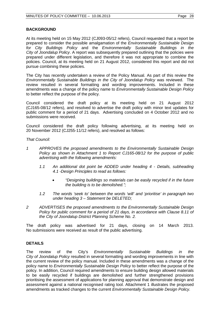### **BACKGROUND**

At its meeting held on 15 May 2012 (CJ093-05/12 refers), Council requested that a report be prepared to consider the possible amalgamation of the *Environmentally Sustainable Design for City Buildings Policy* and the *Environmentally Sustainable Buildings in the City of Joondalup Policy*. A report was subsequently prepared outlining that the policies were prepared under different legislation, and therefore it was not appropriate to combine the policies. Council, at its meeting held on 21 August 2012, considered this report and did not pursue combining these policies.

The City has recently undertaken a review of the Policy Manual. As part of this review the *Environmentally Sustainable Buildings in the City of Joondalup Policy* was reviewed. The review resulted in several formatting and wording improvements. Included in these amendments was a change of the policy name to *Environmentally Sustainable Design Policy*  to better reflect the purpose of the policy.

Council considered the draft policy at its meeting held on 21 August 2012 (CJ165-08/12 refers), and resolved to advertise the draft policy with minor text updates for public comment for a period of 21 days. Advertising concluded on 4 October 2012 and no submissions were received.

Council considered the draft policy following advertising, at its meeting held on 20 November 2012 (CJ255-11/12 refers), and resolved as follows:

*That Council:*

- *1 APPROVES the proposed amendments to the Environmentally Sustainable Design Policy as shown in Attachment 1 to Report CJ165-08/12 for the purpose of public advertising with the following amendments:*
	- *1.1 An additional dot point be ADDED under heading 4 - Details, subheading 4.1 -Design Principles to read as follows:*
		- *"Designing buildings so materials can be easily recycled if in the future the building is to be demolished.";*
	- *1.2 The words 'seek to' between the words 'will' and 'prioritise' in paragraph two under heading 3 – Statement be DELETED;*
- *2 ADVERTISES the proposed amendments to the Environmentally Sustainable Design Policy for public comment for a period of 21 days, in accordance with Clause 8.11 of the City of Joondalup District Planning Scheme No. 2.*

The draft policy was advertised for 21 days, closing on 14 March 2013. No submissions were received as result of the public advertising.

### **DETAILS**

The review of the City's *Environmentally Sustainable Buildings in the City of Joondalup Policy* resulted in several formatting and wording improvements in line with the current review of the policy manual. Included in these amendments was a change of the policy name to *Environmentally Sustainable Design Policy* to better reflect the purpose of the policy. In addition, Council required amendments to ensure building design allowed materials to be easily recycled if buildings are demolished and further strengthened provisions prioritising the assessment of applications for planning approval that demonstrate design and assessment against a national recognised rating tool. Attachment 1 illustrates the proposed amendments as tracked changes to the current *Environmentally Sustainable Design Policy.*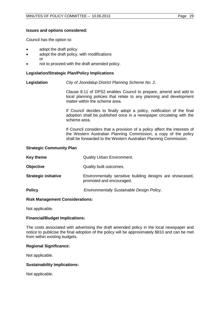#### **Issues and options considered:**

Council has the option to:

- adopt the draft policy
- adopt the draft policy, with modifications
	- or
- not to proceed with the draft amended policy.

#### **Legislation/Strategic Plan/Policy Implications**

**Legislation** *City of Joondalup District Planning Scheme No. 2.*

Clause 8.11 of DPS2 enables Council to prepare, amend and add to local planning policies that relate to any planning and development matter within the scheme area.

If Council decides to finally adopt a policy, notification of the final adoption shall be published once in a newspaper circulating with the scheme area.

If Council considers that a provision of a policy affect the interests of the Western Australian Planning Commission, a copy of the policy shall be forwarded to the Western Australian Planning Commission.

#### **Strategic Community Plan**

| Key theme                   | <b>Quality Urban Environment.</b>                                                     |
|-----------------------------|---------------------------------------------------------------------------------------|
| <b>Objective</b>            | Quality built outcomes.                                                               |
| <b>Strategic initiative</b> | Environmentally sensitive building designs are showcased,<br>promoted and encouraged. |
| <b>Policy</b>               | Environmentally Sustainable Design Policy.                                            |

#### **Risk Management Considerations:**

Not applicable.

### **Financial/Budget Implications:**

The costs associated with advertising the draft amended policy in the local newspaper and notice to publicise the final adoption of the policy will be approximately \$810 and can be met from within existing budgets.

### **Regional Significance:**

Not applicable.

### **Sustainability Implications:**

Not applicable.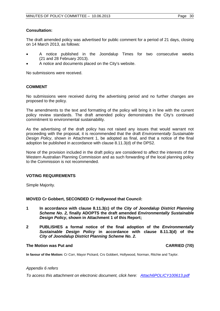#### **Consultation:**

The draft amended policy was advertised for public comment for a period of 21 days, closing on 14 March 2013, as follows:

- A notice published in the Joondalup Times for two consecutive weeks (21 and 28 February 2013).
- A notice and documents placed on the City's website.

No submissions were received.

### **COMMENT**

No submissions were received during the advertising period and no further changes are proposed to the policy.

The amendments to the text and formatting of the policy will bring it in line with the current policy review standards. The draft amended policy demonstrates the City's continued commitment to environmental sustainability.

As the advertising of the draft policy has not raised any issues that would warrant not proceeding with the proposal, it is recommended that the draft *Environmentally Sustainable Design Policy*, shown in Attachment 1, be adopted as final, and that a notice of the final adoption be published in accordance with clause 8.11.3(d) of the DPS2.

None of the provision included in the draft policy are considered to affect the interests of the Western Australian Planning Commission and as such forwarding of the local planning policy to the Commission is not recommended.

#### **VOTING REQUIREMENTS**

Simple Majority.

#### **MOVED Cr Gobbert, SECONDED Cr Hollywood that Council:**

- **1 In accordance with clause 8.11.3(c) of the** *City of Joondalup District Planning Scheme No. 2,* **finally ADOPTS the draft amended** *Environmentally Sustainable Design Policy***, shown in Attachment 1 of this Report;**
- **2 PUBLISHES a formal notice of the final adoption of the** *Environmentally Sustainable Design Policy* **in accordance with clause 8.11.3(d) of the**  *City of Joondalup District Planning Scheme No. 2***.**

#### **The Motion was Put and CARRIED (7/0)**

**In favour of the Motion:** Cr Corr, Mayor Pickard, Crs Gobbert, Hollywood, Norman, Ritchie and Taylor.

#### *Appendix 6 refers*

*[To access this attachment on electronic document, click here: Attach6POLICY100613.pdf](http://www.joondalup.wa.gov.au/files/committees/POLI/2013/Attach6POLICY100613.pdf)*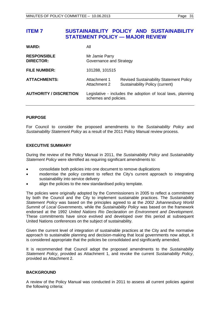# <span id="page-30-0"></span>**ITEM 7 SUSTAINABILITY POLICY AND SUSTAINABILITY STATEMENT POLICY — MAJOR REVIEW**

| <b>WARD:</b>                           | All                                                                                  |                                                                                   |
|----------------------------------------|--------------------------------------------------------------------------------------|-----------------------------------------------------------------------------------|
| <b>RESPONSIBLE</b><br><b>DIRECTOR:</b> | Mr Jamie Parry<br>Governance and Strategy                                            |                                                                                   |
| <b>FILE NUMBER:</b>                    | 101288, 101515                                                                       |                                                                                   |
| <b>ATTACHMENTS:</b>                    | Attachment 1<br>Attachment 2                                                         | <b>Revised Sustainability Statement Policy</b><br>Sustainability Policy (current) |
| <b>AUTHORITY / DISCRETION</b>          | Legislative - includes the adoption of local laws, planning<br>schemes and policies. |                                                                                   |

### **PURPOSE**

For Council to consider the proposed amendments to the *Sustainability Policy* and *Sustainability Statement Policy* as a result of the 2011 Policy Manual review process.

#### **EXECUTIVE SUMMARY**

During the review of the Policy Manual in 2011, the *Sustainability Policy* and *Sustainability Statement Policy* were identified as requiring significant amendments to:

- consolidate both policies into one document to remove duplications
- modernise the policy content to reflect the City's current approach to integrating sustainability into service delivery
- align the policies to the new standardised policy template.

The policies were originally adopted by the Commissioners in 2005 to reflect a commitment by both the Council and the City to implement sustainable practices. The *Sustainability Statement Policy* was based on the principles agreed to at the *2002 Johannesburg World Summit of Local Governments*, while the *Sustainability Policy* was based on the framework endorsed at the 1992 *United Nations Rio Declaration on Environment and Development*. These commitments have since evolved and developed over this period at subsequent United Nations conferences on the subject of sustainability.

Given the current level of integration of sustainable practices at the City and the normative approach to sustainable planning and decision-making that local governments now adopt, it is considered appropriate that the policies be consolidated and significantly amended.

It is recommended that Council adopt the proposed amendments to the *Sustainability Statement Policy*, provided as Attachment 1, and revoke the current *Sustainability Policy*, provided as Attachment 2.

### **BACKGROUND**

A review of the Policy Manual was conducted in 2011 to assess all current policies against the following criteria: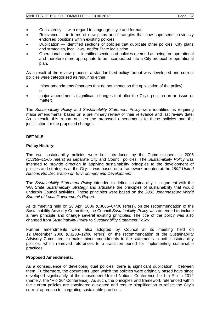- Consistency with regard to language, style and format.
- Relevance  $-$  in terms of new plans and strategies that now supersede previously endorsed positions within existing policies.
- Duplication identified sections of policies that duplicate other policies, City plans and strategies, local laws, and/or State legislation.
- Operational content identified sections of policies deemed as being too operational and therefore more appropriate to be incorporated into a City protocol or operational plan.

As a result of the review process, a standardised policy format was developed and current policies were categorised as requiring either:

- minor amendments (changes that do not impact on the application of the policy) or
- major amendments (significant changes that alter the City's position on an issue or matter).

The *Sustainability Policy* and *Sustainability Statement Policy* were identified as requiring major amendments, based on a preliminary review of their relevance and last review date. As a result, this report outlines the proposed amendments to these policies and the justification for the proposed changes.

## **DETAILS**

### **Policy History:**

The two sustainability policies were first introduced by the Commissioners in 2005 (*CJ269–12/05 refers*) as separate City and Council policies. The *Sustainability Policy* was intended to provide direction in applying sustainability principles to the development of policies and strategies at the City. It was based on a framework adopted at the *1992 United Nations Rio Declaration on Environment and Development*.

The *Sustainability Statement Policy* intended to define sustainability in alignment with the WA *State Sustainability Strategy* and articulate the principles of sustainability that would underpin Council activities. These principles were based on the *2002 Johannesburg World Summit of Local Governments Report*.

At its meeting held on 26 April 2006 (CJ065–04/06 refers), on the recommendation of the Sustainability Advisory Committee, the Council *Sustainability Policy* was amended to include a new principle and change several existing principles. The title of the policy was also changed from *Sustainability Policy* to *Sustainability Statement Policy*.

Further amendments were also adopted by Council at its meeting held on 12 December 2006 (CJ238–12/06 refers) on the recommendation of the Sustainability Advisory Committee, to make minor amendments to the statements in both sustainability policies, which removed references to a transition period for implementing sustainable practices.

### **Proposed Amendments:**

As a consequence of developing dual policies, there is significant duplication between them. Furthermore, the documents upon which the policies were originally based have since developed significantly at the subsequent United Nations Conference held in Rio in 2012 (namely, the "Rio 20" Conference). As such, the principles and framework referenced within the current policies are considered out-dated and require simplification to reflect the City's current approach to integrating sustainable practices.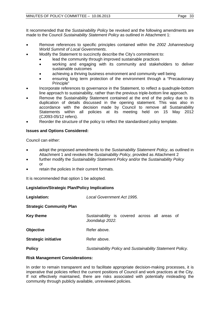It recommended that the *Sustainability Policy* be revoked and the following amendments are made to the Council *Sustainability Statement Policy* as outlined in Attachment 1:

- Remove references to specific principles contained within the *2002 Johannesburg World Summit of Local Governments*.
- Modify the Statement to succinctly describe the City's commitment to:
	- lead the community through improved sustainable practices
	- working and engaging with its community and stakeholders to deliver sustainable outcomes
	- achieving a thriving business environment and community well being
	- ensuring long term protection of the environment through a "Precautionary Principle"
- Incorporate references to governance in the Statement, to reflect a quadruple-bottom line approach to sustainability, rather than the previous triple-bottom line approach.
- Remove the Sustainability Statement contained at the end of the policy due to its duplication of details discussed in the opening statement. This was also in accordance with the decision made by Council to remove all Sustainability Statements within all policies at its meeting held on 15 May 2012 (CJ093-05/12 refers).
- Reorder the structure of the policy to reflect the standardised policy template.

## **Issues and Options Considered:**

Council can either:

- adopt the proposed amendments to the *Sustainability Statement Policy*, as outlined in Attachment 1 and revokes the *Sustainability Policy*, provided as Attachment 2
- further modify the *Sustainability Statement Policy* and/or the *Sustainability Policy* or
- retain the policies in their current formats.

It is recommended that option 1 be adopted.

### **Legislation/Strategic Plan/Policy Implications**

| Legislation:                    | Local Government Act 1995.                                       |  |
|---------------------------------|------------------------------------------------------------------|--|
| <b>Strategic Community Plan</b> |                                                                  |  |
| <b>Key theme</b>                | Sustainability is covered across all areas of<br>Joondalup 2022. |  |
| <b>Objective</b>                | Refer above.                                                     |  |
| <b>Strategic initiative</b>     | Refer above.                                                     |  |
| <b>Policy</b>                   | Sustainability Policy and Sustainability Statement Policy.       |  |

### **Risk Management Considerations:**

In order to remain transparent and to facilitate appropriate decision-making processes, it is imperative that policies reflect the current positions of Council and work practices at the City. If not effectively maintained, there are risks associated with potentially misleading the community through publicly available, unreviewed policies.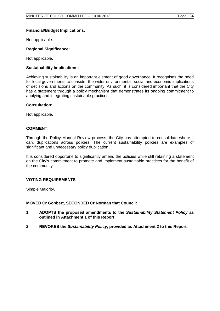### **Financial/Budget Implications:**

Not applicable.

### **Regional Significance:**

Not applicable.

#### **Sustainability Implications:**

Achieving sustainability is an important element of good governance. It recognises the need for local governments to consider the wider environmental, social and economic implications of decisions and actions on the community. As such, it is considered important that the City has a statement through a policy mechanism that demonstrates its ongoing commitment to applying and integrating sustainable practices.

#### **Consultation:**

Not applicable.

### **COMMENT**

Through the Policy Manual Review process, the City has attempted to consolidate where it can, duplications across policies. The current sustainability policies are examples of significant and unnecessary policy duplication.

It is considered opportune to significantly amend the policies while still retaining a statement on the City's commitment to promote and implement sustainable practices for the benefit of the community.

### **VOTING REQUIREMENTS**

Simple Majority.

**MOVED Cr Gobbert, SECONDED Cr Norman that Council:**

- **1 ADOPTS the proposed amendments to the** *Sustainability Statement Policy* **as outlined in Attachment 1 of this Report;**
- **2 REVOKES the** *Sustainability Policy***, provided as Attachment 2 to this Report.**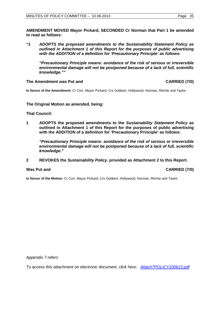**AMENDMENT MOVED Mayor Pickard, SECONDED Cr Norman that Part 1 be amended to read as follows:**

*"1 ADOPTS the proposed amendments to the Sustainability Statement Policy as outlined in Attachment 1 of this Report for the purposes of public advertising with the ADDITION of a definition for 'Precautionary Principle' as follows:* 

*"Precautionary Principle means: avoidance of the risk of serious or irreversible environmental damage will not be postponed because of a lack of full, scientific knowledge.""* 

#### **The Amendment was Put and CARRIED (7/0)**

**In favour of the Amendment:** Cr Corr, Mayor Pickard, Crs Gobbert, Hollywood, Norman, Ritchie and Taylor.

### **The Original Motion as amended, being:**

#### **That Council:**

**1 ADOPTS the proposed amendments to the** *Sustainability Statement Policy* **as outlined in Attachment 1 of this Report for the purposes of public advertising with the ADDITION of a definition for 'Precautionary Principle' as follows:** 

*"Precautionary Principle means: avoidance of the risk of serious or irreversible environmental damage will not be postponed because of a lack of full, scientific knowledge."*

#### **2 REVOKES the** *Sustainability Policy***, provided as Attachment 2 to this Report.**

#### **Was Put and CARRIED (7/0)**

**In favour of the Motion:** Cr Corr, Mayor Pickard, Crs Gobbert, Hollywood, Norman, Ritchie and Taylor.

*Appendix 7 refers*

*[To access this attachment on electronic document, click here: Attach7POLICY100613.pdf](http://www.joondalup.wa.gov.au/files/committees/POLI/2013/Attach7POLICY100613.pdf)*